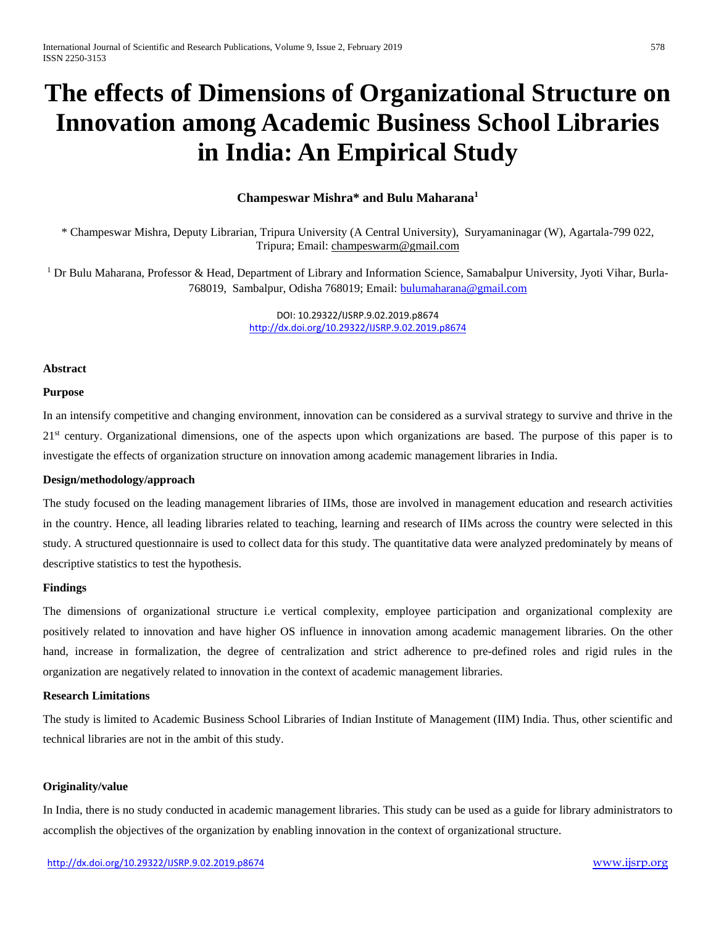# **The effects of Dimensions of Organizational Structure on Innovation among Academic Business School Libraries in India: An Empirical Study**

# **Champeswar Mishra\* and Bulu Maharana1**

\* Champeswar Mishra, Deputy Librarian, Tripura University (A Central University), Suryamaninagar (W), Agartala-799 022, Tripura; Email[: champeswarm@gmail.com](mailto:champeswarm@gmail.com)

<sup>1</sup> Dr Bulu Maharana, Professor & Head, Department of Library and Information Science, Samabalpur University, Jyoti Vihar, Burla-768019, Sambalpur, Odisha 768019; Email: [bulumaharana@gmail.com](mailto:bulumaharana@gmail.com)

> DOI: 10.29322/IJSRP.9.02.2019.p8674 <http://dx.doi.org/10.29322/IJSRP.9.02.2019.p8674>

#### **Abstract**

## **Purpose**

In an intensify competitive and changing environment, innovation can be considered as a survival strategy to survive and thrive in the 21<sup>st</sup> century. Organizational dimensions, one of the aspects upon which organizations are based. The purpose of this paper is to investigate the effects of organization structure on innovation among academic management libraries in India.

## **Design/methodology/approach**

The study focused on the leading management libraries of IIMs, those are involved in management education and research activities in the country. Hence, all leading libraries related to teaching, learning and research of IIMs across the country were selected in this study. A structured questionnaire is used to collect data for this study. The quantitative data were analyzed predominately by means of descriptive statistics to test the hypothesis.

#### **Findings**

The dimensions of organizational structure i.e vertical complexity, employee participation and organizational complexity are positively related to innovation and have higher OS influence in innovation among academic management libraries. On the other hand, increase in formalization, the degree of centralization and strict adherence to pre-defined roles and rigid rules in the organization are negatively related to innovation in the context of academic management libraries.

# **Research Limitations**

The study is limited to Academic Business School Libraries of Indian Institute of Management (IIM) India. Thus, other scientific and technical libraries are not in the ambit of this study.

## **Originality/value**

In India, there is no study conducted in academic management libraries. This study can be used as a guide for library administrators to accomplish the objectives of the organization by enabling innovation in the context of organizational structure.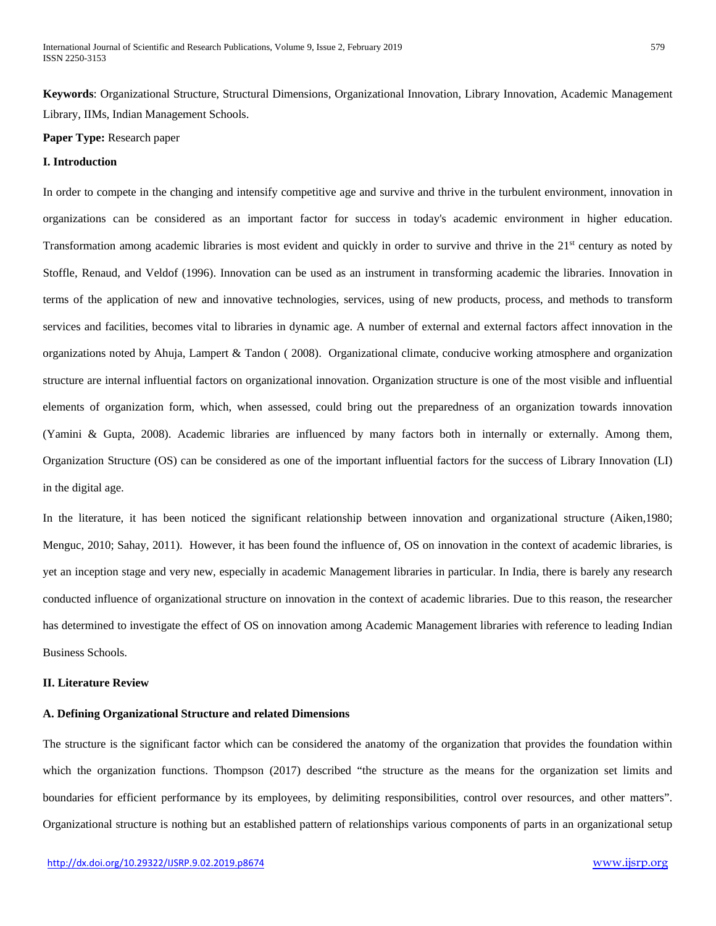**Keywords**: Organizational Structure, Structural Dimensions, Organizational Innovation, Library Innovation, Academic Management Library, IIMs, Indian Management Schools.

## **Paper Type:** Research paper

# **I. Introduction**

In order to compete in the changing and intensify competitive age and survive and thrive in the turbulent environment, innovation in organizations can be considered as an important factor for success in today's academic environment in higher education. Transformation among academic libraries is most evident and quickly in order to survive and thrive in the 21<sup>st</sup> century as noted by Stoffle, Renaud, and Veldof (1996). Innovation can be used as an instrument in transforming academic the libraries. Innovation in terms of the application of new and innovative technologies, services, using of new products, process, and methods to transform services and facilities, becomes vital to libraries in dynamic age. A number of external and external factors affect innovation in the organizations noted by Ahuja, Lampert & Tandon ( 2008). Organizational climate, conducive working atmosphere and organization structure are internal influential factors on organizational innovation. Organization structure is one of the most visible and influential elements of organization form, which, when assessed, could bring out the preparedness of an organization towards innovation (Yamini & Gupta, 2008). Academic libraries are influenced by many factors both in internally or externally. Among them, Organization Structure (OS) can be considered as one of the important influential factors for the success of Library Innovation (LI) in the digital age.

In the literature, it has been noticed the significant relationship between innovation and organizational structure (Aiken,1980; Menguc, 2010; Sahay, 2011). However, it has been found the influence of, OS on innovation in the context of academic libraries, is yet an inception stage and very new, especially in academic Management libraries in particular. In India, there is barely any research conducted influence of organizational structure on innovation in the context of academic libraries. Due to this reason, the researcher has determined to investigate the effect of OS on innovation among Academic Management libraries with reference to leading Indian Business Schools.

# **II. Literature Review**

#### **A. Defining Organizational Structure and related Dimensions**

The structure is the significant factor which can be considered the anatomy of the organization that provides the foundation within which the organization functions. Thompson (2017) described "the structure as the means for the organization set limits and boundaries for efficient performance by its employees, by delimiting responsibilities, control over resources, and other matters". Organizational structure is nothing but an established pattern of relationships various components of parts in an organizational setup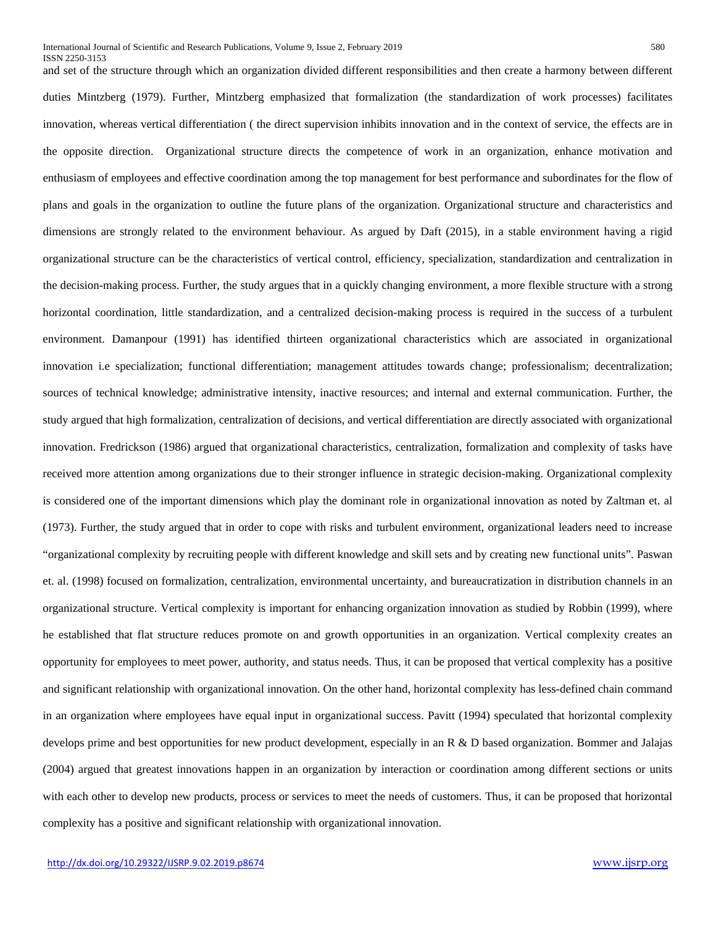and set of the structure through which an organization divided different responsibilities and then create a harmony between different duties Mintzberg (1979). Further, Mintzberg emphasized that formalization (the standardization of work processes) facilitates innovation, whereas vertical differentiation ( the direct supervision inhibits innovation and in the context of service, the effects are in the opposite direction. Organizational structure directs the competence of work in an organization, enhance motivation and enthusiasm of employees and effective coordination among the top management for best performance and subordinates for the flow of plans and goals in the organization to outline the future plans of the organization. Organizational structure and characteristics and dimensions are strongly related to the environment behaviour. As argued by Daft (2015), in a stable environment having a rigid organizational structure can be the characteristics of vertical control, efficiency, specialization, standardization and centralization in the decision-making process. Further, the study argues that in a quickly changing environment, a more flexible structure with a strong horizontal coordination, little standardization, and a centralized decision-making process is required in the success of a turbulent environment. Damanpour (1991) has identified thirteen organizational characteristics which are associated in organizational innovation i.e specialization; functional differentiation; management attitudes towards change; professionalism; decentralization; sources of technical knowledge; administrative intensity, inactive resources; and internal and external communication. Further, the study argued that high formalization, centralization of decisions, and vertical differentiation are directly associated with organizational innovation. Fredrickson (1986) argued that organizational characteristics, centralization, formalization and complexity of tasks have received more attention among organizations due to their stronger influence in strategic decision-making. Organizational complexity is considered one of the important dimensions which play the dominant role in organizational innovation as noted by Zaltman et. al (1973). Further, the study argued that in order to cope with risks and turbulent environment, organizational leaders need to increase "organizational complexity by recruiting people with different knowledge and skill sets and by creating new functional units". Paswan et. al. (1998) focused on formalization, centralization, environmental uncertainty, and bureaucratization in distribution channels in an organizational structure. Vertical complexity is important for enhancing organization innovation as studied by Robbin (1999), where he established that flat structure reduces promote on and growth opportunities in an organization. Vertical complexity creates an opportunity for employees to meet power, authority, and status needs. Thus, it can be proposed that vertical complexity has a positive and significant relationship with organizational innovation. On the other hand, horizontal complexity has less-defined chain command in an organization where employees have equal input in organizational success. Pavitt (1994) speculated that horizontal complexity develops prime and best opportunities for new product development, especially in an R & D based organization. Bommer and Jalajas (2004) argued that greatest innovations happen in an organization by interaction or coordination among different sections or units with each other to develop new products, process or services to meet the needs of customers. Thus, it can be proposed that horizontal complexity has a positive and significant relationship with organizational innovation.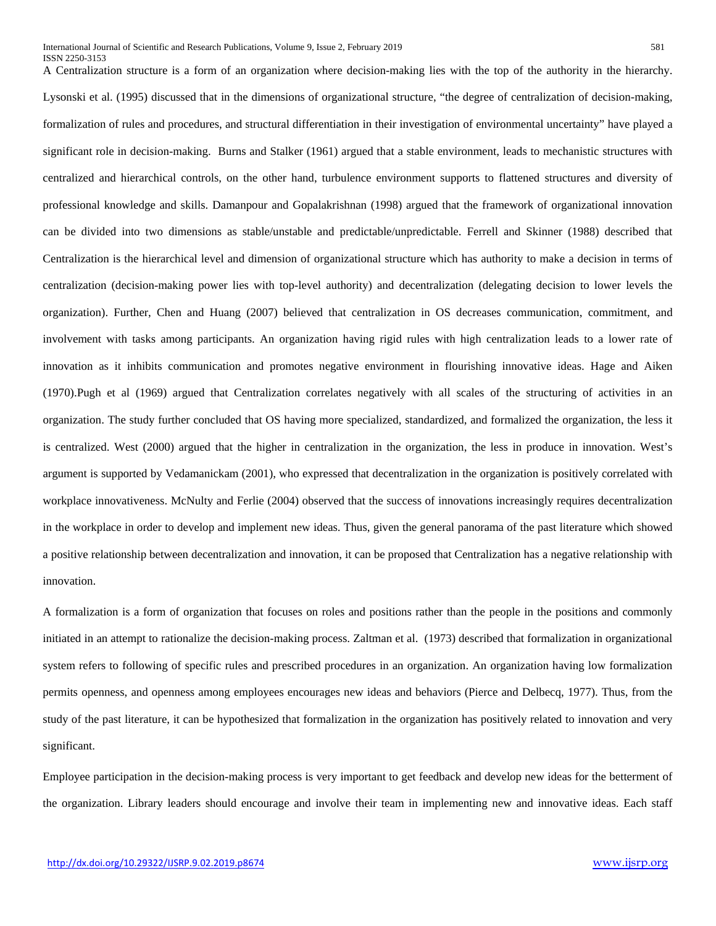A Centralization structure is a form of an organization where decision-making lies with the top of the authority in the hierarchy. Lysonski et al. (1995) discussed that in the dimensions of organizational structure, "the degree of centralization of decision-making, formalization of rules and procedures, and structural differentiation in their investigation of environmental uncertainty" have played a significant role in decision-making. Burns and Stalker (1961) argued that a stable environment, leads to mechanistic structures with centralized and hierarchical controls, on the other hand, turbulence environment supports to flattened structures and diversity of professional knowledge and skills. Damanpour and Gopalakrishnan (1998) argued that the framework of organizational innovation can be divided into two dimensions as stable/unstable and predictable/unpredictable. Ferrell and Skinner (1988) described that Centralization is the hierarchical level and dimension of organizational structure which has authority to make a decision in terms of centralization (decision-making power lies with top-level authority) and decentralization (delegating decision to lower levels the organization). Further, Chen and Huang (2007) believed that centralization in OS decreases communication, commitment, and involvement with tasks among participants. An organization having rigid rules with high centralization leads to a lower rate of innovation as it inhibits communication and promotes negative environment in flourishing innovative ideas. Hage and Aiken (1970).Pugh et al (1969) argued that Centralization correlates negatively with all scales of the structuring of activities in an organization. The study further concluded that OS having more specialized, standardized, and formalized the organization, the less it is centralized. West (2000) argued that the higher in centralization in the organization, the less in produce in innovation. West's argument is supported by Vedamanickam (2001), who expressed that decentralization in the organization is positively correlated with workplace innovativeness. McNulty and Ferlie (2004) observed that the success of innovations increasingly requires decentralization in the workplace in order to develop and implement new ideas. Thus, given the general panorama of the past literature which showed a positive relationship between decentralization and innovation, it can be proposed that Centralization has a negative relationship with innovation.

A formalization is a form of organization that focuses on roles and positions rather than the people in the positions and commonly initiated in an attempt to rationalize the decision-making process. Zaltman et al. (1973) described that formalization in organizational system refers to following of specific rules and prescribed procedures in an organization. An organization having low formalization permits openness, and openness among employees encourages new ideas and behaviors (Pierce and Delbecq, 1977). Thus, from the study of the past literature, it can be hypothesized that formalization in the organization has positively related to innovation and very significant.

Employee participation in the decision-making process is very important to get feedback and develop new ideas for the betterment of the organization. Library leaders should encourage and involve their team in implementing new and innovative ideas. Each staff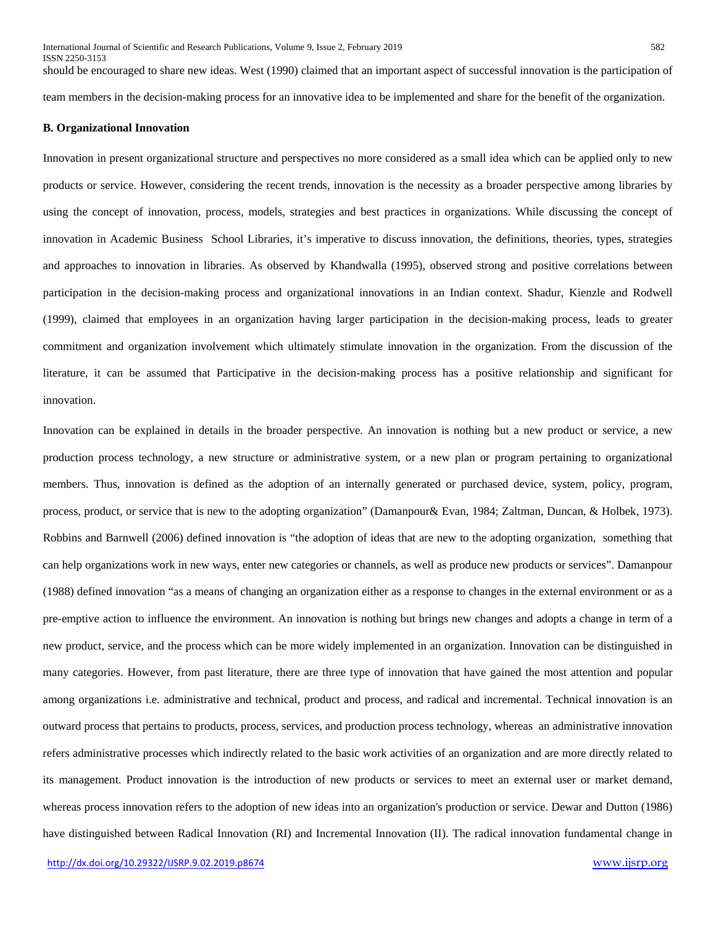should be encouraged to share new ideas. West (1990) claimed that an important aspect of successful innovation is the participation of team members in the decision-making process for an innovative idea to be implemented and share for the benefit of the organization.

## **B. Organizational Innovation**

Innovation in present organizational structure and perspectives no more considered as a small idea which can be applied only to new products or service. However, considering the recent trends, innovation is the necessity as a broader perspective among libraries by using the concept of innovation, process, models, strategies and best practices in organizations. While discussing the concept of innovation in Academic Business School Libraries, it's imperative to discuss innovation, the definitions, theories, types, strategies and approaches to innovation in libraries. As observed by Khandwalla (1995), observed strong and positive correlations between participation in the decision-making process and organizational innovations in an Indian context. Shadur, Kienzle and Rodwell (1999), claimed that employees in an organization having larger participation in the decision-making process, leads to greater commitment and organization involvement which ultimately stimulate innovation in the organization. From the discussion of the literature, it can be assumed that Participative in the decision-making process has a positive relationship and significant for innovation.

Innovation can be explained in details in the broader perspective. An innovation is nothing but a new product or service, a new production process technology, a new structure or administrative system, or a new plan or program pertaining to organizational members. Thus, innovation is defined as the adoption of an internally generated or purchased device, system, policy, program, process, product, or service that is new to the adopting organization" (Damanpour& Evan, 1984; Zaltman, Duncan, & Holbek, 1973). Robbins and Barnwell (2006) defined innovation is "the adoption of ideas that are new to the adopting organization, something that can help organizations work in new ways, enter new categories or channels, as well as produce new products or services". Damanpour (1988) defined innovation "as a means of changing an organization either as a response to changes in the external environment or as a pre-emptive action to influence the environment. An innovation is nothing but brings new changes and adopts a change in term of a new product, service, and the process which can be more widely implemented in an organization. Innovation can be distinguished in many categories. However, from past literature, there are three type of innovation that have gained the most attention and popular among organizations i.e. administrative and technical, product and process, and radical and incremental. Technical innovation is an outward process that pertains to products, process, services, and production process technology, whereas an administrative innovation refers administrative processes which indirectly related to the basic work activities of an organization and are more directly related to its management. Product innovation is the introduction of new products or services to meet an external user or market demand, whereas process innovation refers to the adoption of new ideas into an organization's production or service. Dewar and Dutton (1986) have distinguished between Radical Innovation (RI) and Incremental Innovation (II). The radical innovation fundamental change in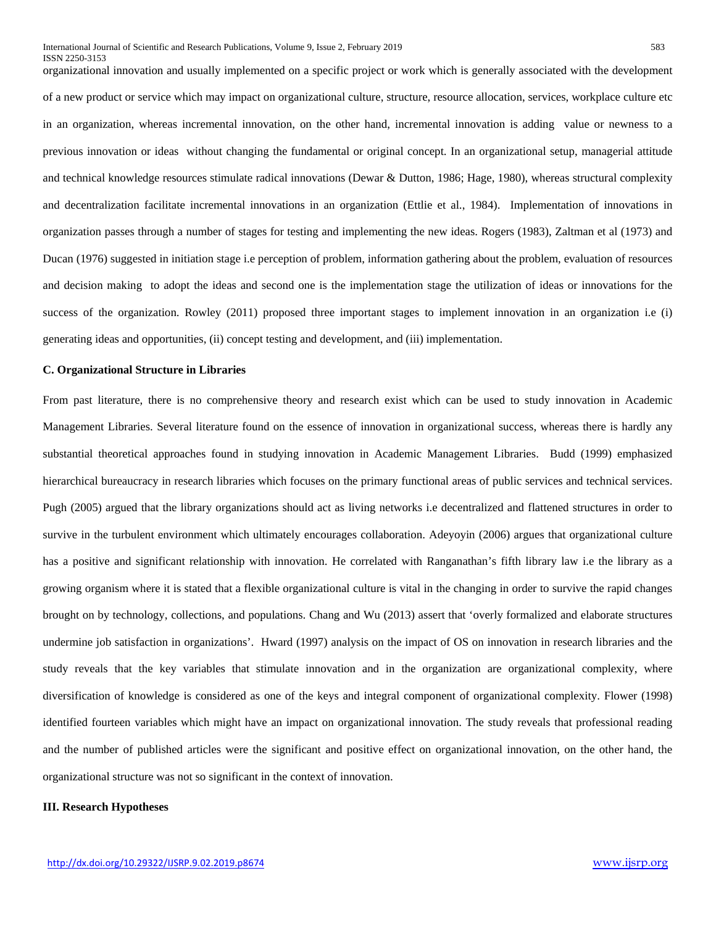generating ideas and opportunities, (ii) concept testing and development, and (iii) implementation.

organizational innovation and usually implemented on a specific project or work which is generally associated with the development of a new product or service which may impact on organizational culture, structure, resource allocation, services, workplace culture etc in an organization, whereas incremental innovation, on the other hand, incremental innovation is adding value or newness to a previous innovation or ideas without changing the fundamental or original concept. In an organizational setup, managerial attitude and technical knowledge resources stimulate radical innovations (Dewar & Dutton, 1986; Hage, 1980), whereas structural complexity and decentralization facilitate incremental innovations in an organization (Ettlie et al., 1984). Implementation of innovations in organization passes through a number of stages for testing and implementing the new ideas. Rogers (1983), Zaltman et al (1973) and Ducan (1976) suggested in initiation stage i.e perception of problem, information gathering about the problem, evaluation of resources and decision making to adopt the ideas and second one is the implementation stage the utilization of ideas or innovations for the success of the organization. Rowley (2011) proposed three important stages to implement innovation in an organization i.e (i)

#### **C. Organizational Structure in Libraries**

From past literature, there is no comprehensive theory and research exist which can be used to study innovation in Academic Management Libraries. Several literature found on the essence of innovation in organizational success, whereas there is hardly any substantial theoretical approaches found in studying innovation in Academic Management Libraries. Budd (1999) emphasized hierarchical bureaucracy in research libraries which focuses on the primary functional areas of public services and technical services. Pugh (2005) argued that the library organizations should act as living networks i.e decentralized and flattened structures in order to survive in the turbulent environment which ultimately encourages collaboration. Adeyoyin (2006) argues that organizational culture has a positive and significant relationship with innovation. He correlated with Ranganathan's fifth library law i.e the library as a growing organism where it is stated that a flexible organizational culture is vital in the changing in order to survive the rapid changes brought on by technology, collections, and populations. Chang and Wu (2013) assert that 'overly formalized and elaborate structures undermine job satisfaction in organizations'. Hward (1997) analysis on the impact of OS on innovation in research libraries and the study reveals that the key variables that stimulate innovation and in the organization are organizational complexity, where diversification of knowledge is considered as one of the keys and integral component of organizational complexity. Flower (1998) identified fourteen variables which might have an impact on organizational innovation. The study reveals that professional reading and the number of published articles were the significant and positive effect on organizational innovation, on the other hand, the organizational structure was not so significant in the context of innovation.

## **III. Research Hypotheses**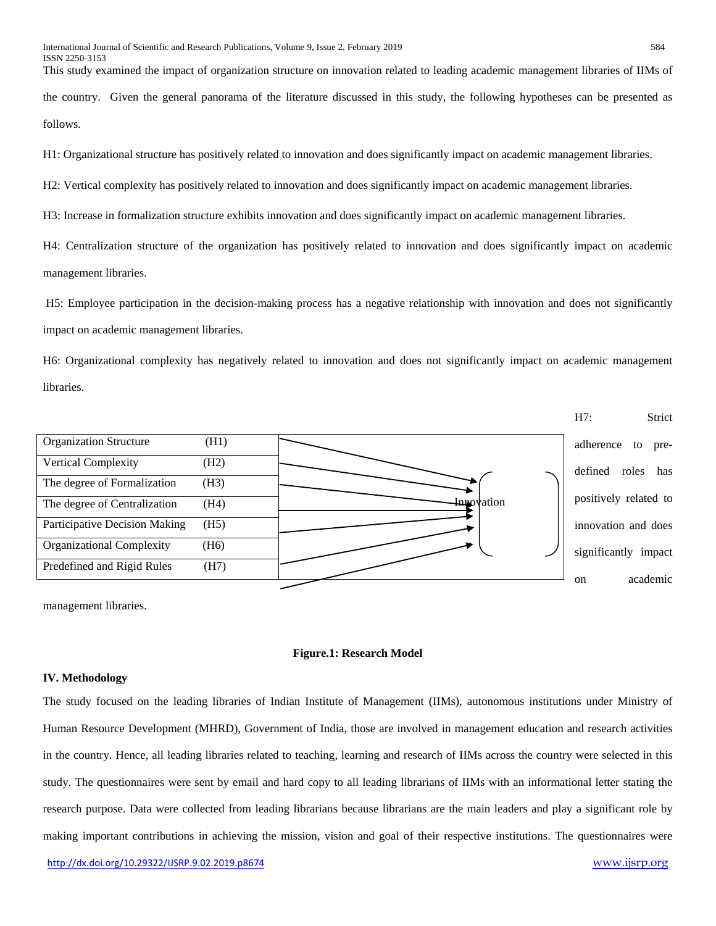This study examined the impact of organization structure on innovation related to leading academic management libraries of IIMs of the country. Given the general panorama of the literature discussed in this study, the following hypotheses can be presented as follows.

H1: Organizational structure has positively related to innovation and does significantly impact on academic management libraries.

H2: Vertical complexity has positively related to innovation and does significantly impact on academic management libraries.

H3: Increase in formalization structure exhibits innovation and does significantly impact on academic management libraries.

H4: Centralization structure of the organization has positively related to innovation and does significantly impact on academic management libraries.

H5: Employee participation in the decision-making process has a negative relationship with innovation and does not significantly impact on academic management libraries.

H6: Organizational complexity has negatively related to innovation and does not significantly impact on academic management libraries.



management libraries.

#### **Figure.1: Research Model**

#### **IV. Methodology**

The study focused on the leading libraries of Indian Institute of Management (IIMs), autonomous institutions under Ministry of Human Resource Development (MHRD), Government of India, those are involved in management education and research activities in the country. Hence, all leading libraries related to teaching, learning and research of IIMs across the country were selected in this study. The questionnaires were sent by email and hard copy to all leading librarians of IIMs with an informational letter stating the research purpose. Data were collected from leading librarians because librarians are the main leaders and play a significant role by making important contributions in achieving the mission, vision and goal of their respective institutions. The questionnaires were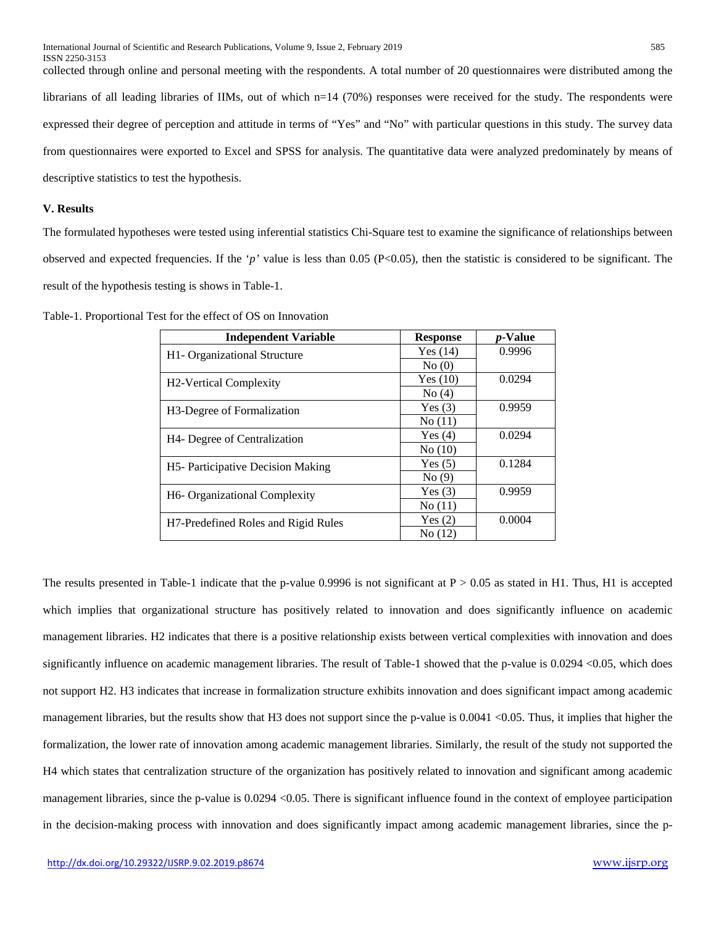collected through online and personal meeting with the respondents. A total number of 20 questionnaires were distributed among the librarians of all leading libraries of IIMs, out of which n=14 (70%) responses were received for the study. The respondents were expressed their degree of perception and attitude in terms of "Yes" and "No" with particular questions in this study. The survey data from questionnaires were exported to Excel and SPSS for analysis. The quantitative data were analyzed predominately by means of descriptive statistics to test the hypothesis.

# **V. Results**

The formulated hypotheses were tested using inferential statistics Chi-Square test to examine the significance of relationships between observed and expected frequencies. If the '*p'* value is less than 0.05 (P<0.05), then the statistic is considered to be significant. The result of the hypothesis testing is shows in Table-1.

| <b>Independent Variable</b>                      | <b>Response</b> | <i>p</i> -Value |
|--------------------------------------------------|-----------------|-----------------|
| H1- Organizational Structure                     | Yes $(14)$      | 0.9996          |
|                                                  | No(0)           |                 |
| <b>H2-Vertical Complexity</b>                    | Yes $(10)$      | 0.0294          |
|                                                  | No(4)           |                 |
| H <sub>3</sub> -Degree of Formalization          | Yes(3)          | 0.9959          |
|                                                  | No(11)          |                 |
| H <sub>4</sub> - Degree of Centralization        | Yes(4)          | 0.0294          |
|                                                  | No(10)          |                 |
| H5- Participative Decision Making                | Yes(5)          | 0.1284          |
|                                                  | No(9)           |                 |
| H <sub>6</sub> - Organizational Complexity       | Yes(3)          | 0.9959          |
|                                                  | No(11)          |                 |
| H <sub>7</sub> -Predefined Roles and Rigid Rules | Yes(2)          | 0.0004          |
|                                                  | No(12)          |                 |

Table-1. Proportional Test for the effect of OS on Innovation

The results presented in Table-1 indicate that the p-value 0.9996 is not significant at  $P > 0.05$  as stated in H1. Thus, H1 is accepted which implies that organizational structure has positively related to innovation and does significantly influence on academic management libraries. H2 indicates that there is a positive relationship exists between vertical complexities with innovation and does significantly influence on academic management libraries. The result of Table-1 showed that the p-value is 0.0294 < 0.05, which does not support H2. H3 indicates that increase in formalization structure exhibits innovation and does significant impact among academic management libraries, but the results show that H3 does not support since the p-value is 0.0041 <0.05. Thus, it implies that higher the formalization, the lower rate of innovation among academic management libraries. Similarly, the result of the study not supported the H4 which states that centralization structure of the organization has positively related to innovation and significant among academic management libraries, since the p-value is 0.0294 < 0.05. There is significant influence found in the context of employee participation in the decision-making process with innovation and does significantly impact among academic management libraries, since the p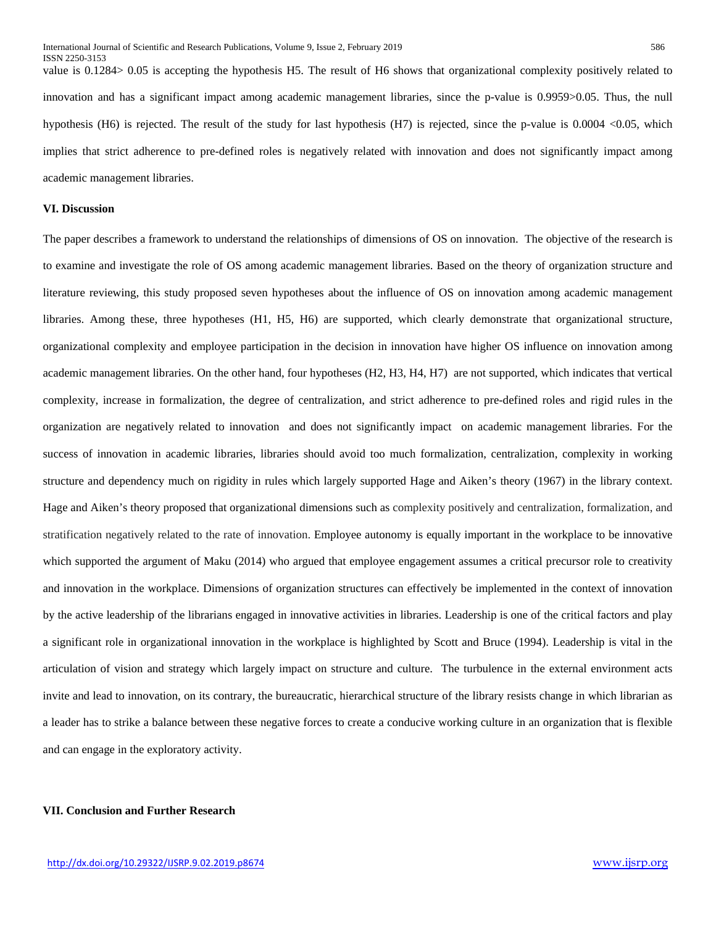value is 0.1284> 0.05 is accepting the hypothesis H5. The result of H6 shows that organizational complexity positively related to innovation and has a significant impact among academic management libraries, since the p-value is 0.9959>0.05. Thus, the null hypothesis (H6) is rejected. The result of the study for last hypothesis (H7) is rejected, since the p-value is 0.0004 <0.05, which implies that strict adherence to pre-defined roles is negatively related with innovation and does not significantly impact among academic management libraries.

# **VI. Discussion**

The paper describes a framework to understand the relationships of dimensions of OS on innovation. The objective of the research is to examine and investigate the role of OS among academic management libraries. Based on the theory of organization structure and literature reviewing, this study proposed seven hypotheses about the influence of OS on innovation among academic management libraries. Among these, three hypotheses (H1, H5, H6) are supported, which clearly demonstrate that organizational structure, organizational complexity and employee participation in the decision in innovation have higher OS influence on innovation among academic management libraries. On the other hand, four hypotheses (H2, H3, H4, H7) are not supported, which indicates that vertical complexity, increase in formalization, the degree of centralization, and strict adherence to pre-defined roles and rigid rules in the organization are negatively related to innovation and does not significantly impact on academic management libraries. For the success of innovation in academic libraries, libraries should avoid too much formalization, centralization, complexity in working structure and dependency much on rigidity in rules which largely supported Hage and Aiken's theory (1967) in the library context. Hage and Aiken's theory proposed that organizational dimensions such as complexity positively and centralization, formalization, and stratification negatively related to the rate of innovation. Employee autonomy is equally important in the workplace to be innovative which supported the argument of Maku (2014) who argued that employee engagement assumes a critical precursor role to creativity and innovation in the workplace. Dimensions of organization structures can effectively be implemented in the context of innovation by the active leadership of the librarians engaged in innovative activities in libraries. Leadership is one of the critical factors and play a significant role in organizational innovation in the workplace is highlighted by Scott and Bruce (1994). Leadership is vital in the articulation of vision and strategy which largely impact on structure and culture. The turbulence in the external environment acts invite and lead to innovation, on its contrary, the bureaucratic, hierarchical structure of the library resists change in which librarian as a leader has to strike a balance between these negative forces to create a conducive working culture in an organization that is flexible and can engage in the exploratory activity.

## **VII. Conclusion and Further Research**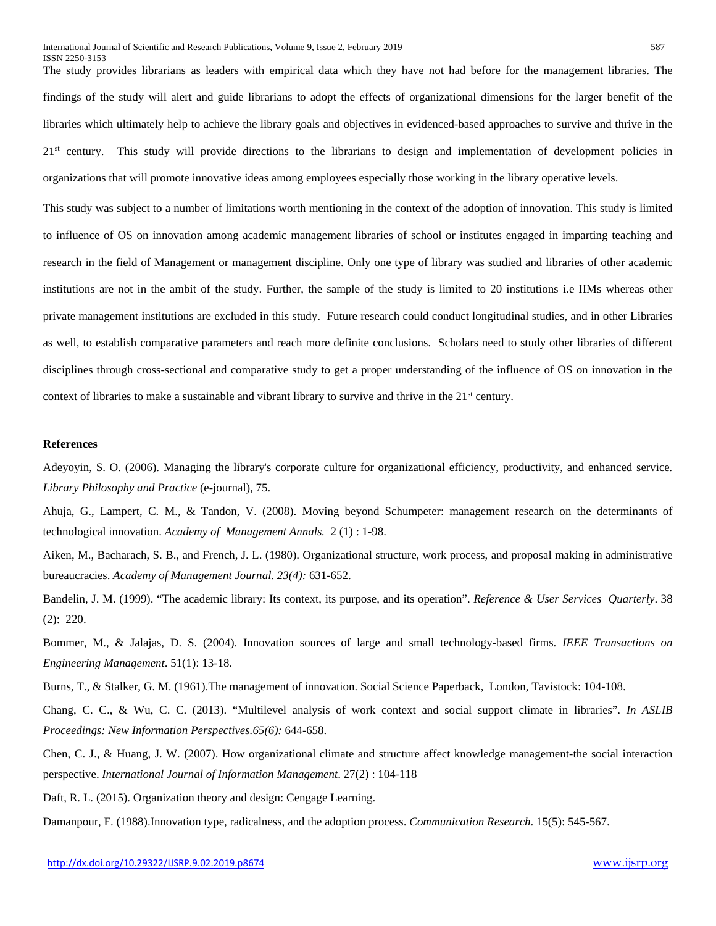The study provides librarians as leaders with empirical data which they have not had before for the management libraries. The findings of the study will alert and guide librarians to adopt the effects of organizational dimensions for the larger benefit of the libraries which ultimately help to achieve the library goals and objectives in evidenced-based approaches to survive and thrive in the 21<sup>st</sup> century. This study will provide directions to the librarians to design and implementation of development policies in organizations that will promote innovative ideas among employees especially those working in the library operative levels.

This study was subject to a number of limitations worth mentioning in the context of the adoption of innovation. This study is limited to influence of OS on innovation among academic management libraries of school or institutes engaged in imparting teaching and research in the field of Management or management discipline. Only one type of library was studied and libraries of other academic institutions are not in the ambit of the study. Further, the sample of the study is limited to 20 institutions i.e IIMs whereas other private management institutions are excluded in this study. Future research could conduct longitudinal studies, and in other Libraries as well, to establish comparative parameters and reach more definite conclusions. Scholars need to study other libraries of different disciplines through cross-sectional and comparative study to get a proper understanding of the influence of OS on innovation in the context of libraries to make a sustainable and vibrant library to survive and thrive in the  $21<sup>st</sup>$  century.

#### **References**

ISSN 2250-3153

Adeyoyin, S. O. (2006). Managing the library's corporate culture for organizational efficiency, productivity, and enhanced service*. Library Philosophy and Practice* (e-journal), 75.

Ahuja, G., Lampert, C. M., & Tandon, V. (2008). Moving beyond Schumpeter: management research on the determinants of technological innovation. *Academy of Management Annals.* 2 (1) : 1-98.

Aiken, M., Bacharach, S. B., and French, J. L. (1980). Organizational structure, work process, and proposal making in administrative bureaucracies. *Academy of Management Journal. 23(4):* 631-652.

Bandelin, J. M. (1999). "The academic library: Its context, its purpose, and its operation". *Reference & User Services Quarterly*. 38 (2): 220.

Bommer, M., & Jalajas, D. S. (2004). Innovation sources of large and small technology-based firms. *IEEE Transactions on Engineering Management*. 51(1): 13-18.

Burns, T., & Stalker, G. M. (1961).The management of innovation. Social Science Paperback, London, Tavistock: 104-108.

Chang, C. C., & Wu, C. C. (2013). "Multilevel analysis of work context and social support climate in libraries". *In ASLIB Proceedings: New Information Perspectives.65(6):* 644-658.

Chen, C. J., & Huang, J. W. (2007). How organizational climate and structure affect knowledge management-the social interaction perspective. *International Journal of Information Management*. 27(2) : 104-118

Daft, R. L. (2015). Organization theory and design: Cengage Learning.

Damanpour, F. (1988).Innovation type, radicalness, and the adoption process. *Communication Research*. 15(5): 545-567.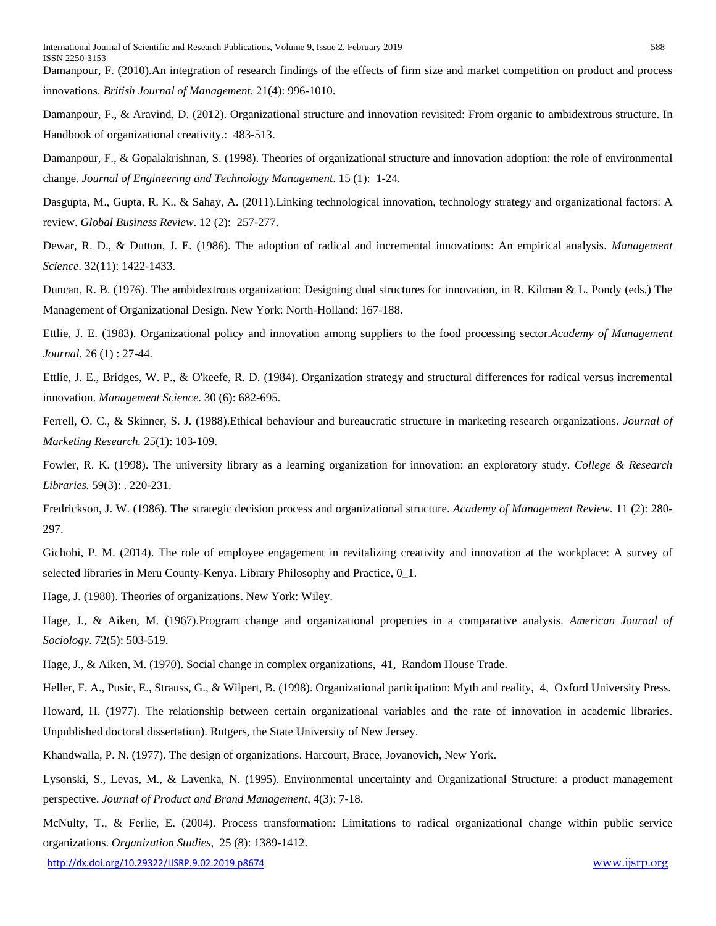Damanpour, F. (2010).An integration of research findings of the effects of firm size and market competition on product and process innovations. *British Journal of Management*. 21(4): 996-1010.

Damanpour, F., & Aravind, D. (2012). Organizational structure and innovation revisited: From organic to ambidextrous structure. In Handbook of organizational creativity.: 483-513.

Damanpour, F., & Gopalakrishnan, S. (1998). Theories of organizational structure and innovation adoption: the role of environmental change. *Journal of Engineering and Technology Management*. 15 (1): 1-24.

Dasgupta, M., Gupta, R. K., & Sahay, A. (2011).Linking technological innovation, technology strategy and organizational factors: A review. *Global Business Review*. 12 (2): 257-277.

Dewar, R. D., & Dutton, J. E. (1986). The adoption of radical and incremental innovations: An empirical analysis. *Management Science*. 32(11): 1422-1433.

Duncan, R. B. (1976). The ambidextrous organization: Designing dual structures for innovation, in R. Kilman & L. Pondy (eds.) The Management of Organizational Design. New York: North-Holland: 167-188.

Ettlie, J. E. (1983). Organizational policy and innovation among suppliers to the food processing sector.*Academy of Management Journal*. 26 (1) : 27-44.

Ettlie, J. E., Bridges, W. P., & O'keefe, R. D. (1984). Organization strategy and structural differences for radical versus incremental innovation. *Management Science*. 30 (6): 682-695.

Ferrell, O. C., & Skinner, S. J. (1988).Ethical behaviour and bureaucratic structure in marketing research organizations. *Journal of Marketing Research.* 25(1): 103-109.

Fowler, R. K. (1998). The university library as a learning organization for innovation: an exploratory study. *College & Research Libraries.* 59(3): . 220-231.

Fredrickson, J. W. (1986). The strategic decision process and organizational structure. *Academy of Management Review*. 11 (2): 280- 297.

Gichohi, P. M. (2014). The role of employee engagement in revitalizing creativity and innovation at the workplace: A survey of selected libraries in Meru County-Kenya. Library Philosophy and Practice, 0\_1.

Hage, J. (1980). Theories of organizations. New York: Wiley.

Hage, J., & Aiken, M. (1967).Program change and organizational properties in a comparative analysis. *American Journal of Sociology*. 72(5): 503-519.

Hage, J., & Aiken, M. (1970). Social change in complex organizations, 41, Random House Trade.

Heller, F. A., Pusic, E., Strauss, G., & Wilpert, B. (1998). Organizational participation: Myth and reality, 4, Oxford University Press.

Howard, H. (1977). The relationship between certain organizational variables and the rate of innovation in academic libraries. Unpublished doctoral dissertation). Rutgers, the State University of New Jersey.

Khandwalla, P. N. (1977). The design of organizations. Harcourt, Brace, Jovanovich, New York.

Lysonski, S., Levas, M., & Lavenka, N. (1995). Environmental uncertainty and Organizational Structure: a product management perspective. *Journal of Product and Brand Management*, 4(3): 7-18.

McNulty, T., & Ferlie, E. (2004). Process transformation: Limitations to radical organizational change within public service organizations. *Organization Studies*, 25 (8): 1389-1412.